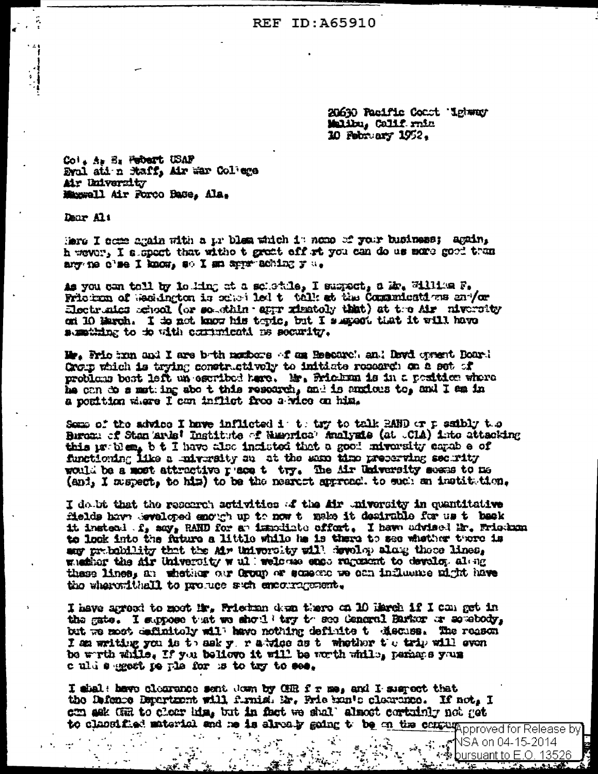**REF ID: A65910** 

20630 Pacific Coast Lebener Malibu, Calif.rnin 10 February 1952.

Col. A. E. Febert USAF Eval ati n faif, Air war Col'ege Air University Magnell Air Forco Base, Ala.

Dear Alt

Here I ocee again with a pr blem which it nome of your business; again, h wever, I a spect that witho t great off rt you can do us more good than ary ne o'se I know, so I am approaching y a.

as you can toll by louing at a schedule, I suspect, a Br. William F. Friction of Seculation is sense led t talk at the Communications envior Electruics rehool (or southin eppr ximitaly that) at the Air niversity on 10 March. I do not know his topic, but I suspect that it will have sumpting to to with commutent is security.

Ma, Prio hun and I are both mombers of am Resourch and Davi optent Board Crop which is trying constructively to initiate research on a set of problem best left un escribed here. Mr. Frickm is in a position where he can do s met ing abo t this research, and is anxious to, and I am in a position where I can inflict free a wice on him.

Some of the advice I have inflicted it to tay to talk RAND or p saibly the Bironi of Stan ards' Institute of Ninorica' Analysis (at CIA) into attacking this problem, b t I have also incluted that a good miversity capable of functioning like a mightity su at the same time preserving security would be a most attractive place to try. The Mr University seems to me (and, I memett, to him) to be the nearest approach to such an institution.

I do bt that the research activities of the Air oniversity in quantitative fields have seveloped enough up to now to make it desirable for us to back it instead f, say, RAND for an immodiate offort. I have advised ir. Friedman to look into the future a little while he is there to see whether thore is any probability that the Mr University will develop along these lines. whether the Air University will welcome enco regenent to develop along these lines, an whether our Group or someone we can influence aight have the whereafthell to produce such encouragement.

I have agreed to moot Mr. Friethan dem there on 10 Harch if I can get in the gate. I suppose that we should try to see Ceneral Barker or somebody, but we most definitely will have nothing definite t discuss. The reason I am writing you is to ask y, r a wice as t whether the trip will even be wrth while, If you believe it will be worth while, perhaps yous culd segect pe pla for is to tay to see.

I shal: have clearance sent down by CHR f r me, and I suspect that the Defence Department will furnish Mr. Frie han's clearance. If not, I con sek GR to cheer him, but in fact we shall almost cortainly not get to classified material and no is already gaing to be on the contrapproved for Release by